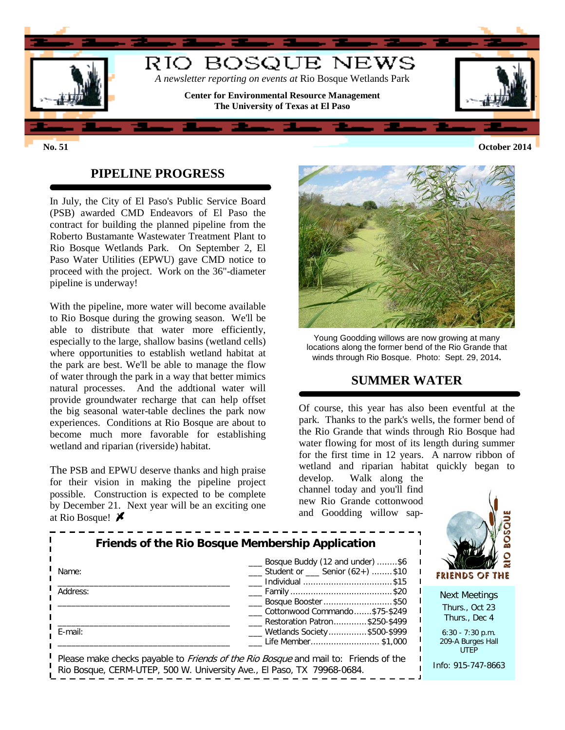

## **PIPELINE PROGRESS**

In July, the City of El Paso's Public Service Board (PSB) awarded CMD Endeavors of El Paso the contract for building the planned pipeline from the Roberto Bustamante Wastewater Treatment Plant to Rio Bosque Wetlands Park. On September 2, El Paso Water Utilities (EPWU) gave CMD notice to proceed with the project. Work on the 36"-diameter pipeline is underway!

With the pipeline, more water will become available to Rio Bosque during the growing season. We'll be able to distribute that water more efficiently, especially to the large, shallow basins (wetland cells) where opportunities to establish wetland habitat at the park are best. We'll be able to manage the flow of water through the park in a way that better mimics natural processes. And the addtional water will provide groundwater recharge that can help offset the big seasonal water-table declines the park now experiences. Conditions at Rio Bosque are about to become much more favorable for establishing wetland and riparian (riverside) habitat.

The PSB and EPWU deserve thanks and high praise for their vision in making the pipeline project possible. Construction is expected to be complete by December 21. Next year will be an exciting one at Rio Bosque!



Young Goodding willows are now growing at many locations along the former bend of the Rio Grande that winds through Rio Bosque. Photo: Sept. 29, 2014**.**

#### **SUMMER WATER**

Of course, this year has also been eventful at the park. Thanks to the park's wells, the former bend of the Rio Grande that winds through Rio Bosque had water flowing for most of its length during summer for the first time in 12 years. A narrow ribbon of wetland and riparian habitat quickly began to

develop. Walk along the channel today and you'll find new Rio Grande cottonwood and Goodding willow sap-

|          | Bosque Buddy (12 and under) \$6                          |  |  |  |  |
|----------|----------------------------------------------------------|--|--|--|--|
| Name:    | $\frac{1}{1}$ Student or $\frac{1}{1}$ Senior (62+) \$10 |  |  |  |  |
|          | Individual \$15                                          |  |  |  |  |
| Address: |                                                          |  |  |  |  |
|          | __ Bosque Booster \$50                                   |  |  |  |  |
|          | Cottonwood Commando\$75-\$249                            |  |  |  |  |
|          | Restoration Patron\$250-\$499                            |  |  |  |  |
| E-mail:  | ___ Wetlands Society\$500-\$999                          |  |  |  |  |
|          | Life Member\$1,000                                       |  |  |  |  |

FRIENDS **OF THE** 

Next Meetings Thurs., Oct 23 Thurs., Dec 4

6:30 - 7:30 p.m. 209-A Burges Hall UTEP

Info: 915-747-8663